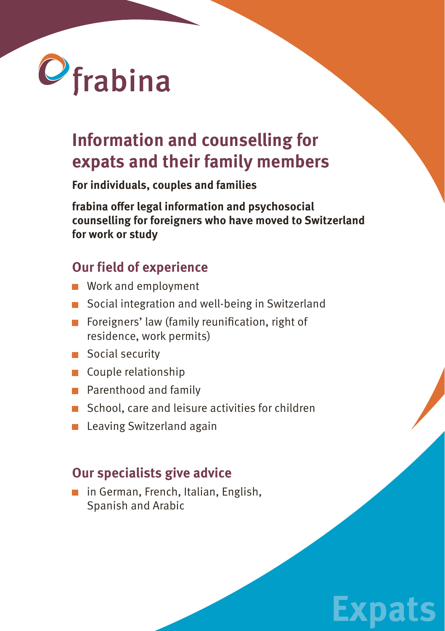

# **Information and counselling for expats and their family members**

**For individuals, couples and families**

**frabina offer legal information and psychosocial counselling for foreigners who have moved to Switzerland for work or study**

### **Our field of experience**

- **Work and employment**
- Social integration and well-being in Switzerland
- Foreigners' law (family reunification, right of residence, work permits)
- Social security
- Couple relationship
- **Parenthood and family**
- School, care and leisure activities for children

**Expats**

**Leaving Switzerland again** 

### **Our specialists give advice**

■ in German, French, Italian, English, Spanish and Arabic